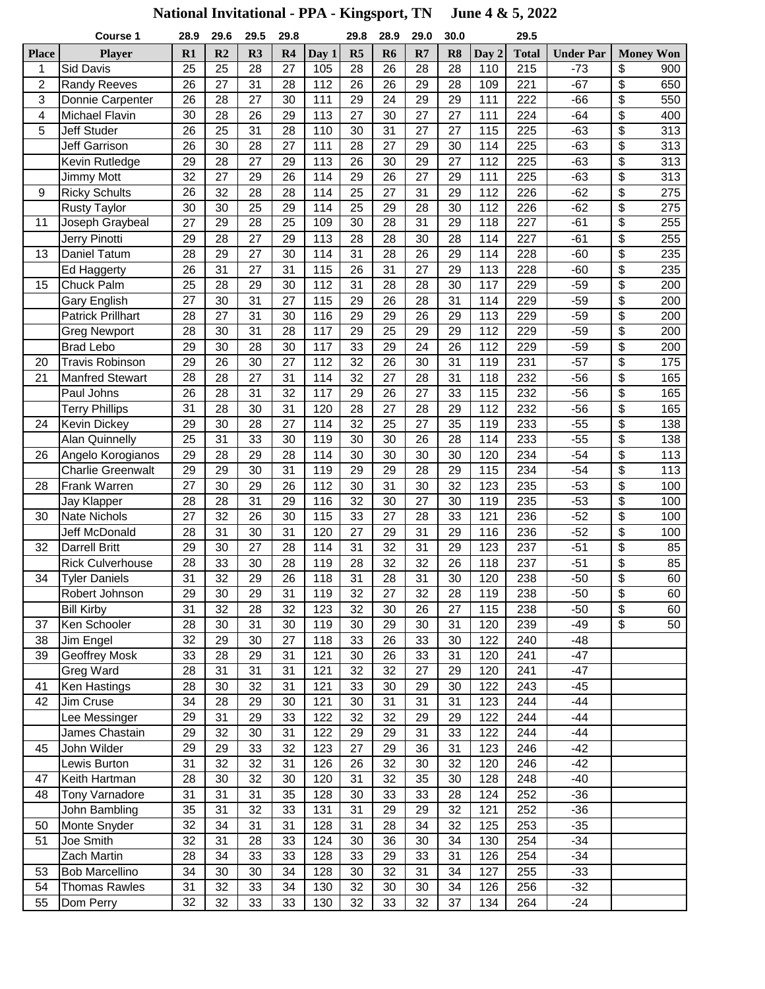## **National Invitational - PPA - Kingsport, TN June 4 & 5, 2022**

|                | Course 1                 | 28.9            | 29.6            | 29.5 | 29.8            |                  | 29.8 | 28.9            | 29.0 | 30.0 |       | 29.5         |                  |                 |                  |
|----------------|--------------------------|-----------------|-----------------|------|-----------------|------------------|------|-----------------|------|------|-------|--------------|------------------|-----------------|------------------|
| <b>Place</b>   | <b>Player</b>            | R1              | R <sub>2</sub>  | R3   | R4              | Day 1            | R5   | R <sub>6</sub>  | R7   | R8   | Day 2 | <b>Total</b> | <b>Under Par</b> |                 | <b>Money Won</b> |
| 1              | Sid Davis                | 25              | $\overline{25}$ | 28   | 27              | 105              | 28   | 26              | 28   | 28   | 110   | 215          | $-73$            | \$              | 900              |
| $\overline{c}$ | <b>Randy Reeves</b>      | 26              | 27              | 31   | 28              | 112              | 26   | 26              | 29   | 28   | 109   | 221          | $-67$            | \$              | 650              |
| 3              | Donnie Carpenter         | 26              | 28              | 27   | 30              | 111              | 29   | 24              | 29   | 29   | 111   | 222          | $-66$            | \$              | 550              |
| 4              | <b>Michael Flavin</b>    | 30              | 28              | 26   | 29              | 113              | 27   | 30              | 27   | 27   | 111   | 224          | $-64$            | \$              | 400              |
| 5              | Jeff Studer              | 26              | 25              | 31   | 28              | 110              | 30   | 31              | 27   | 27   | 115   | 225          | $-63$            | \$              | 313              |
|                | Jeff Garrison            | 26              | 30              | 28   | 27              | 111              | 28   | 27              | 29   | 30   | 114   | 225          | $-63$            | \$              | 313              |
|                | Kevin Rutledge           | 29              | 28              | 27   | 29              | 113              | 26   | 30              | 29   | 27   | 112   | 225          | $-63$            | \$              | 313              |
|                | Jimmy Mott               | 32              | 27              | 29   | 26              | 114              | 29   | $\overline{26}$ | 27   | 29   | 111   | 225          | $-63$            | \$              | $\overline{313}$ |
| 9              | <b>Ricky Schults</b>     | 26              | 32              | 28   | 28              | 114              | 25   | 27              | 31   | 29   | 112   | 226          | $-62$            | \$              | 275              |
|                | <b>Rusty Taylor</b>      | 30              | 30              | 25   | 29              | 114              | 25   | 29              | 28   | 30   | 112   | 226          | $-62$            | \$              | 275              |
| 11             | Joseph Graybeal          | $\overline{27}$ | 29              | 28   | $\overline{25}$ | 109              | 30   | 28              | 31   | 29   | 118   | 227          | $-61$            | $\overline{\$}$ | 255              |
|                | Jerry Pinotti            | 29              | 28              | 27   | 29              | 113              | 28   | 28              | 30   | 28   | 114   | 227          | $-61$            | \$              | 255              |
| 13             | <b>Daniel Tatum</b>      | 28              | 29              | 27   | 30              | 114              | 31   | 28              | 26   | 29   | 114   | 228          | $-60$            | \$              | 235              |
|                | Ed Haggerty              | 26              | 31              | 27   | 31              | 115              | 26   | 31              | 27   | 29   | 113   | 228          | $-60$            | \$              | 235              |
| 15             | Chuck Palm               | 25              | 28              | 29   | 30              | 112              | 31   | 28              | 28   | 30   | 117   | 229          | $-59$            | \$              | 200              |
|                | <b>Gary English</b>      | 27              | 30              | 31   | 27              | $\overline{1}15$ | 29   | 26              | 28   | 31   | 114   | 229          | $-59$            | \$              | 200              |
|                | <b>Patrick Prillhart</b> | 28              | 27              | 31   | 30              | 116              | 29   | 29              | 26   | 29   | 113   | 229          | $-59$            | \$              | 200              |
|                | <b>Greg Newport</b>      | 28              | 30              | 31   | 28              | 117              | 29   | 25              | 29   | 29   | 112   | 229          | $-59$            | \$              | 200              |
|                | <b>Brad Lebo</b>         | 29              | 30              | 28   | 30              | 117              | 33   | 29              | 24   | 26   | 112   | 229          | $-59$            | \$              | 200              |
| 20             | <b>Travis Robinson</b>   | 29              | 26              | 30   | 27              | 112              | 32   | 26              | 30   | 31   | 119   | 231          | $-57$            | \$              | 175              |
| 21             | <b>Manfred Stewart</b>   | 28              | 28              | 27   | 31              | 114              | 32   | 27              | 28   | 31   | 118   | 232          | $-56$            | \$              | 165              |
|                | Paul Johns               | 26              | 28              | 31   | 32              | 117              | 29   | 26              | 27   | 33   | 115   | 232          | $-56$            | \$              | 165              |
|                | <b>Terry Phillips</b>    | 31              | 28              | 30   | 31              | 120              | 28   | 27              | 28   | 29   | 112   | 232          | $-56$            | \$              | 165              |
| 24             | <b>Kevin Dickey</b>      | 29              | 30              | 28   | 27              | 114              | 32   | 25              | 27   | 35   | 119   | 233          | $-55$            | \$              | 138              |
|                | <b>Alan Quinnelly</b>    | $\overline{25}$ | $\overline{31}$ | 33   | 30              | 119              | 30   | 30              | 26   | 28   | 114   | 233          | $-55$            | \$              | 138              |
| 26             | Angelo Korogianos        | 29              | 28              | 29   | 28              | 114              | 30   | 30              | 30   | 30   | 120   | 234          | $-54$            | \$              | 113              |
|                | <b>Charlie Greenwalt</b> | 29              | 29              | 30   | 31              | 119              | 29   | 29              | 28   | 29   | 115   | 234          | $-54$            | \$              | 113              |
| 28             | <b>Frank Warren</b>      | 27              | 30              | 29   | 26              | 112              | 30   | 31              | 30   | 32   | 123   | 235          | $-53$            | \$              | 100              |
|                | Jay Klapper              | 28              | 28              | 31   | 29              | 116              | 32   | 30              | 27   | 30   | 119   | 235          | $-53$            | \$              | 100              |
| 30             | <b>Nate Nichols</b>      | $\overline{27}$ | 32              | 26   | 30              | 115              | 33   | $\overline{27}$ | 28   | 33   | 121   | 236          | $-52$            | \$              | 100              |
|                | <b>Jeff McDonald</b>     | 28              | 31              | 30   | 31              | 120              | 27   | 29              | 31   | 29   | 116   | 236          | $-52$            | \$              | 100              |
| 32             | <b>Darrell Britt</b>     | 29              | 30              | 27   | 28              | 114              | 31   | 32              | 31   | 29   | 123   | 237          | $-51$            | \$              | 85               |
|                | <b>Rick Culverhouse</b>  | $\overline{28}$ | 33              | 30   | 28              | $\overline{119}$ | 28   | $\overline{32}$ | 32   | 26   | 118   | 237          | $-51$            | \$              | 85               |
| 34             | <b>Tyler Daniels</b>     | 31              | $\overline{32}$ | 29   | 26              | 118              | 31   | 28              | 31   | 30   | 120   | 238          | $-50$            | \$              | 60               |
|                | Robert Johnson           | 29              | 30              | 29   | 31              | 119              | 32   | $\overline{27}$ | 32   | 28   | 119   | 238          | $-50$            | $\overline{\$}$ | 60               |
|                | <b>Bill Kirby</b>        | 31              | 32              | 28   | 32              | 123              | 32   | 30              | 26   | 27   | 115   | 238          | $-50$            | \$              | 60               |
| 37             | Ken Schooler             | 28              | 30              | 31   | 30              | 119              | 30   | 29              | 30   | 31   | 120   | 239          | $-49$            | \$              | 50               |
| 38             | Jim Engel                | 32              | 29              | 30   | 27              | 118              | 33   | 26              | 33   | 30   | 122   | 240          | $-48$            |                 |                  |
| 39             | Geoffrey Mosk            | 33              | 28              | 29   | 31              | 121              | 30   | 26              | 33   | 31   | 120   | 241          | $-47$            |                 |                  |
|                | Greg Ward                | 28              | 31              | 31   | 31              | 121              | 32   | 32              | 27   | 29   | 120   | 241          | $-47$            |                 |                  |
| 41             | Ken Hastings             | 28              | 30              | 32   | 31              | 121              | 33   | 30              | 29   | 30   | 122   | 243          | $-45$            |                 |                  |
| 42             | Jim Cruse                | 34              | 28              | 29   | 30              | 121              | 30   | 31              | 31   | 31   | 123   | 244          | $-44$            |                 |                  |
|                | Lee Messinger            | 29              | 31              | 29   | 33              | 122              | 32   | 32              | 29   | 29   | 122   | 244          | $-44$            |                 |                  |
|                | James Chastain           | 29              | 32              | 30   | 31              | 122              | 29   | 29              | 31   | 33   | 122   | 244          | $-44$            |                 |                  |
| 45             | John Wilder              | 29              | 29              | 33   | 32              | 123              | 27   | 29              | 36   | 31   | 123   | 246          | $-42$            |                 |                  |
|                | Lewis Burton             | 31              | 32              | 32   | 31              | 126              | 26   | 32              | 30   | 32   | 120   | 246          | $-42$            |                 |                  |
| 47             | Keith Hartman            | 28              | 30              | 32   | 30              | 120              | 31   | 32              | 35   | 30   | 128   | 248          | $-40$            |                 |                  |
| 48             | Tony Varnadore           | 31              | 31              | 31   | 35              | 128              | 30   | 33              | 33   | 28   | 124   | 252          | $-36$            |                 |                  |
|                | John Bambling            | 35              | 31              | 32   | 33              | 131              | 31   | 29              | 29   | 32   | 121   | 252          | $-36$            |                 |                  |
| 50             | Monte Snyder             | 32              | $\overline{34}$ | 31   | 31              | 128              | 31   | 28              | 34   | 32   | 125   | 253          | $-35$            |                 |                  |
| 51             | Joe Smith                | 32              | 31              | 28   | 33              | 124              | 30   | 36              | 30   | 34   | 130   | 254          | $-34$            |                 |                  |
|                | Zach Martin              | 28              | 34              | 33   | 33              | 128              | 33   | 29              | 33   | 31   | 126   | 254          | $-34$            |                 |                  |
| 53             | <b>Bob Marcellino</b>    | 34              | 30              | 30   | 34              | 128              | 30   | 32              | 31   | 34   | 127   | 255          | $-33$            |                 |                  |
| 54             | <b>Thomas Rawles</b>     | 31              | 32              | 33   | 34              | 130              | 32   | 30              | 30   | 34   | 126   | 256          | $-32$            |                 |                  |
| 55             | Dom Perry                | 32              | 32              | 33   | 33              | 130              | 32   | 33              | 32   | 37   | 134   | 264          | $-24$            |                 |                  |
|                |                          |                 |                 |      |                 |                  |      |                 |      |      |       |              |                  |                 |                  |